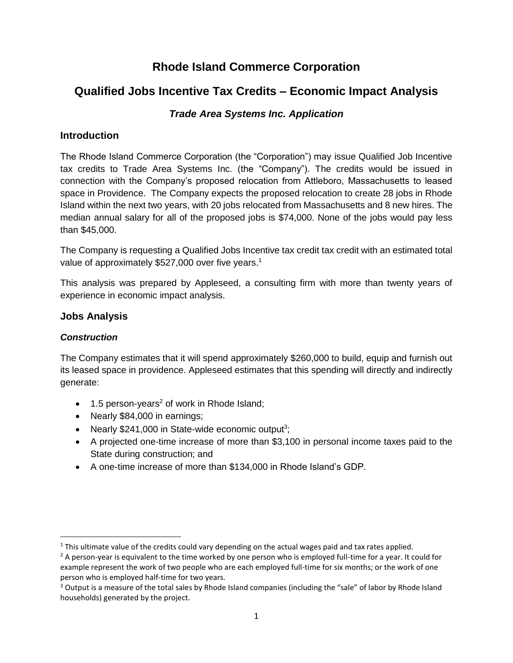# **Rhode Island Commerce Corporation**

# **Qualified Jobs Incentive Tax Credits – Economic Impact Analysis**

# *Trade Area Systems Inc. Application*

# **Introduction**

The Rhode Island Commerce Corporation (the "Corporation") may issue Qualified Job Incentive tax credits to Trade Area Systems Inc. (the "Company"). The credits would be issued in connection with the Company's proposed relocation from Attleboro, Massachusetts to leased space in Providence. The Company expects the proposed relocation to create 28 jobs in Rhode Island within the next two years, with 20 jobs relocated from Massachusetts and 8 new hires. The median annual salary for all of the proposed jobs is \$74,000. None of the jobs would pay less than \$45,000.

The Company is requesting a Qualified Jobs Incentive tax credit tax credit with an estimated total value of approximately \$527,000 over five years.<sup>1</sup>

This analysis was prepared by Appleseed, a consulting firm with more than twenty years of experience in economic impact analysis.

# **Jobs Analysis**

## *Construction*

 $\overline{a}$ 

The Company estimates that it will spend approximately \$260,000 to build, equip and furnish out its leased space in providence. Appleseed estimates that this spending will directly and indirectly generate:

- $\bullet$  1.5 person-years<sup>2</sup> of work in Rhode Island;
- Nearly \$84,000 in earnings;
- Nearly  $$241,000$  in State-wide economic output<sup>3</sup>;
- A projected one-time increase of more than \$3,100 in personal income taxes paid to the State during construction; and
- A one-time increase of more than \$134,000 in Rhode Island's GDP.

<sup>&</sup>lt;sup>1</sup> This ultimate value of the credits could vary depending on the actual wages paid and tax rates applied.

 $2$  A person-year is equivalent to the time worked by one person who is employed full-time for a year. It could for example represent the work of two people who are each employed full-time for six months; or the work of one person who is employed half-time for two years.

<sup>&</sup>lt;sup>3</sup> Output is a measure of the total sales by Rhode Island companies (including the "sale" of labor by Rhode Island households) generated by the project.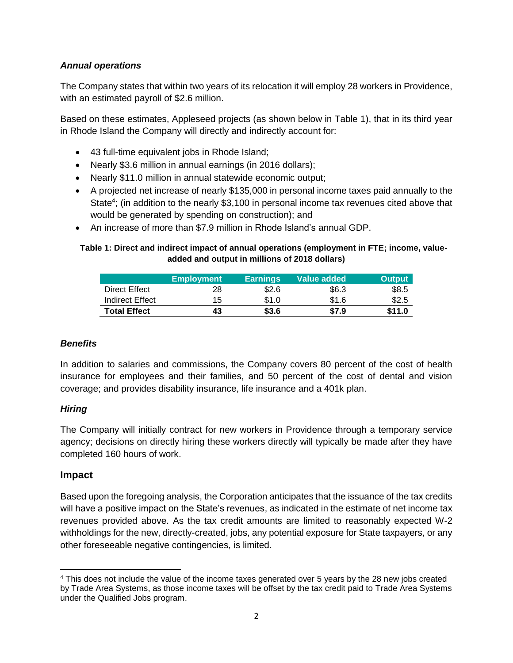## *Annual operations*

The Company states that within two years of its relocation it will employ 28 workers in Providence, with an estimated payroll of \$2.6 million.

Based on these estimates, Appleseed projects (as shown below in Table 1), that in its third year in Rhode Island the Company will directly and indirectly account for:

- 43 full-time equivalent jobs in Rhode Island;
- Nearly \$3.6 million in annual earnings (in 2016 dollars);
- Nearly \$11.0 million in annual statewide economic output;
- A projected net increase of nearly \$135,000 in personal income taxes paid annually to the State<sup>4</sup>; (in addition to the nearly \$3,100 in personal income tax revenues cited above that would be generated by spending on construction); and
- An increase of more than \$7.9 million in Rhode Island's annual GDP.

### **Table 1: Direct and indirect impact of annual operations (employment in FTE; income, valueadded and output in millions of 2018 dollars)**

|                     | <b>Employment</b> | <b>Earnings</b> | Value added | <b>Output</b> |
|---------------------|-------------------|-----------------|-------------|---------------|
| Direct Effect       | 28                | \$2.6           | \$6.3       | \$8.5         |
| Indirect Effect     | 15                | \$1.0           | \$1.6       | \$2.5         |
| <b>Total Effect</b> | 43                | \$3.6           | \$7.9       | \$11.0        |

### *Benefits*

In addition to salaries and commissions, the Company covers 80 percent of the cost of health insurance for employees and their families, and 50 percent of the cost of dental and vision coverage; and provides disability insurance, life insurance and a 401k plan.

### *Hiring*

The Company will initially contract for new workers in Providence through a temporary service agency; decisions on directly hiring these workers directly will typically be made after they have completed 160 hours of work.

### **Impact**

Based upon the foregoing analysis, the Corporation anticipates that the issuance of the tax credits will have a positive impact on the State's revenues, as indicated in the estimate of net income tax revenues provided above. As the tax credit amounts are limited to reasonably expected W-2 withholdings for the new, directly-created, jobs, any potential exposure for State taxpayers, or any other foreseeable negative contingencies, is limited.

 $\overline{\phantom{a}}$ <sup>4</sup> This does not include the value of the income taxes generated over 5 years by the 28 new jobs created by Trade Area Systems, as those income taxes will be offset by the tax credit paid to Trade Area Systems under the Qualified Jobs program.